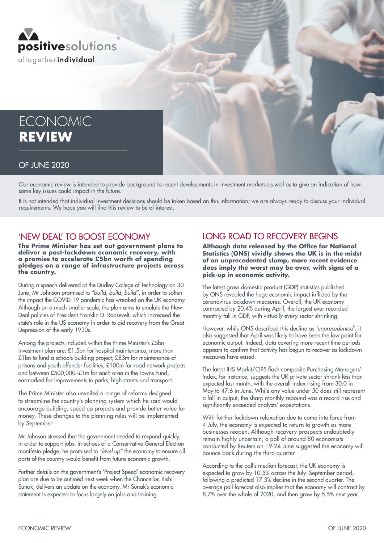

# **ECONOMIC REVIEW**

#### OF JUNE 2020

Our economic review is intended to provide background to recent developments in investment markets as well as to give an indication of how some key issues could impact in the future.

It is not intended that individual investment decisions should be taken based on this information; we are always ready to discuss your individual requirements. We hope you will find this review to be of interest.

#### 'NEW DEAL' TO BOOST ECONOMY

**The Prime Minister has set out government plans to deliver a post-lockdown economic recovery, with a promise to accelerate £5bn worth of spending pledges on a range of infrastructure projects across the country.**

During a speech delivered at the Dudley College of Technology on 30 June, Mr Johnson promised to *"build, build, build"*, in order to soften the impact the COVID-19 pandemic has wreaked on the UK economy. Although on a much smaller scale, the plan aims to emulate the New Deal policies of President Franklin D. Roosevelt, which increased the state's role in the US economy in order to aid recovery from the Great Depression of the early 1930s.

Among the projects included within the Prime Minister's £5bn investment plan are: £1.5bn for hospital maintenance; more than £1bn to fund a schools building project; £83m for maintenance of prisons and youth offender facilities; £100m for road network projects and between £500,000–£1m for each area in the Towns Fund, earmarked for improvements to parks, high streets and transport.

The Prime Minister also unveiled a range of reforms designed to streamline the country's planning system which he said would encourage building, speed up projects and provide better value for money. These changes to the planning rules will be implemented by September.

Mr Johnson stressed that the government needed to respond quickly, in order to support jobs. In echoes of a Conservative General Election manifesto pledge, he promised to *"level up"* the economy to ensure all parts of the country would benefit from future economic growth.

Further details on the government's 'Project Speed' economic recovery plan are due to be outlined next week when the Chancellor, Rishi Sunak, delivers an update on the economy. Mr Sunak's economic statement is expected to focus largely on jobs and training.

### LONG ROAD TO RECOVERY BEGINS

**Although data released by the Office for National Statistics (ONS) vividly shows the UK is in the midst of an unprecedented slump, more recent evidence does imply the worst may be over, with signs of a pick-up in economic activity.**

The latest gross domestic product (GDP) statistics published by ONS revealed the huge economic impact inflicted by the coronavirus lockdown measures. Overall, the UK economy contracted by 20.4% during April, the largest ever recorded monthly fall in GDP, with virtually every sector shrinking.

However, while ONS described this decline as *'unprecedented'*, it also suggested that April was likely to have been the low point for economic output. Indeed, data covering more recent time periods appears to confirm that activity has begun to recover as lockdown measures have eased.

The latest IHS Markit/CIPS flash composite Purchasing Managers' Index, for instance, suggests the UK private sector shrank less than expected last month, with the overall index rising from 30.0 in May to 47.6 in June. While any value under 50 does still represent a fall in output, the sharp monthly rebound was a record rise and significantly exceeded analysts' expectations.

With further lockdown relaxation due to come into force from 4 July, the economy is expected to return to growth as more businesses reopen. Although recovery prospects undoubtedly remain highly uncertain, a poll of around 80 economists conducted by Reuters on 19-24 June suggested the economy will bounce back during the third quarter.

According to the poll's median forecast, the UK economy is expected to grow by 10.5% across the July–September period, following a predicted 17.3% decline in the second quarter. The average poll forecast also implies that the economy will contract by 8.7% over the whole of 2020, and then grow by 5.5% next year.